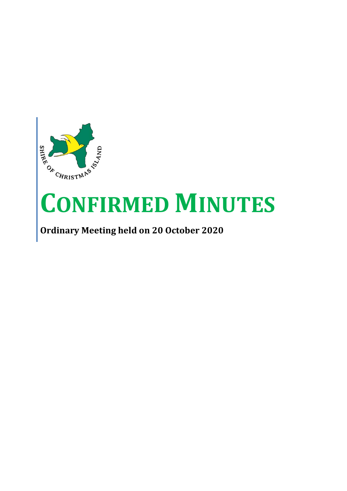

# **CONFIRMED MINUTES**

# **Ordinary Meeting held on 20 October 2020**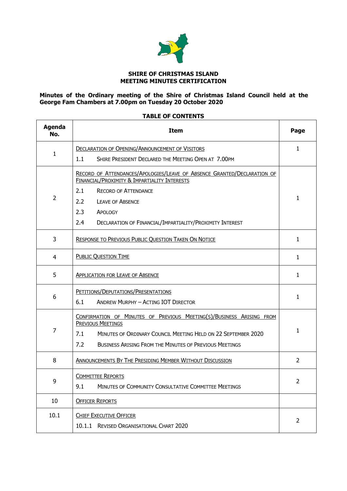

#### **SHIRE OF CHRISTMAS ISLAND MEETING MINUTES CERTIFICATION**

#### **Minutes of the Ordinary meeting of the Shire of Christmas Island Council held at the George Fam Chambers at 7.00pm on Tuesday 20 October 2020**

## **Agenda No. Item Page** 1 DECLARATION OF OPENING/A[NNOUNCEMENT OF](#page-3-0) VISITORS 1.1 SHIRE PRESIDENT DECLARED THE MEETING OPEN AT 7.00PM [1](#page-3-0) 2 RECORD OF ATTENDANCES/APOLOGIES/LEAVE OF ABSENCE GRANTED/D[ECLARATION OF](#page-3-1)  FINANCIAL/PROXIMITY & I[MPARTIALITY](#page-3-1) INTERESTS 2.1 RECORD OF ATTENDANCE 2.2 LEAVE OF ABSENCE 2.3 APOLOGY 2.4 DECLARATION OF FINANCIAL/IMPARTIALITY/PROXIMITY INTEREST [1](#page-3-1) 3 R[ESPONSE TO](#page-3-2) PREVIOUS PUBLIC QUESTION TAKEN ON NOTICE [1](#page-3-2) 4 PUBLIC Q[UESTION](#page-3-3) TIME [1](#page-3-3) 5 A[PPLICATION FOR](#page-3-4) LEAVE OF ABSENCE [1](#page-3-4) 1 1 1 6 PETITIONS/DEPUTATIONS/P[RESENTATIONS](#page-3-5) 6.1 ANDREW MURPHY – ACTING IOT DIRECTOR [1](#page-3-5) 7 C[ONFIRMATION OF](#page-3-6) MINUTES OF PREVIOUS MEETING(S)/BUSINESS ARISING FROM P[REVIOUS](#page-3-6) MEETINGS 7.1 MINUTES OF ORDINARY COUNCIL MEETING HELD ON 22 SEPTEMBER 2020 7.2 BUSINESS ARISING FROM THE MINUTES OF PREVIOUS MEETINGS [1](#page-3-6) 8 | A[NNOUNCEMENTS](#page-4-0) BY THE PRESIDING MEMBER WITHOUT DISCUSSION | [2](#page-4-0) 9 C[OMMITTEE](#page-4-1) REPORTS 9.1 MINUTES OF COMMUNITY CONSULTATIVE COMMITTEE MEETINGS [2](#page-4-1) 10 | OFFICER REPORTS 10.1 | CHIEF E[XECUTIVE](#page-4-2) OFFICER 10.1.1 REVISED ORGANISATIONAL CHART 2020 [2](#page-4-2)

#### **TABLE OF CONTENTS**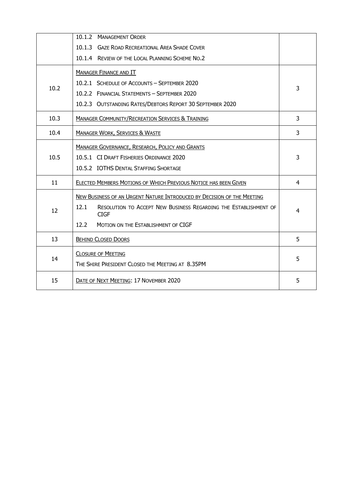|      | 10.1.2 MANAGEMENT ORDER                                                                 |   |
|------|-----------------------------------------------------------------------------------------|---|
|      | 10.1.3 GAZE ROAD RECREATIONAL AREA SHADE COVER                                          |   |
|      | 10.1.4 REVIEW OF THE LOCAL PLANNING SCHEME NO.2                                         |   |
|      | <b>MANAGER FINANCE AND IT</b>                                                           |   |
| 10.2 | 10.2.1 SCHEDULE OF ACCOUNTS - SEPTEMBER 2020                                            |   |
|      | 10.2.2 FINANCIAL STATEMENTS - SEPTEMBER 2020                                            | 3 |
|      | 10.2.3 OUTSTANDING RATES/DEBTORS REPORT 30 SEPTEMBER 2020                               |   |
| 10.3 | <b>MANAGER COMMUNITY/RECREATION SERVICES &amp; TRAINING</b>                             | 3 |
| 10.4 | <b>MANAGER WORK, SERVICES &amp; WASTE</b>                                               | 3 |
|      | <b>MANAGER GOVERNANCE, RESEARCH, POLICY AND GRANTS</b>                                  |   |
| 10.5 | 10.5.1 CI DRAFT FISHERIES ORDINANCE 2020                                                | 3 |
|      | 10.5.2 IOTHS DENTAL STAFFING SHORTAGE                                                   |   |
| 11   | ELECTED MEMBERS MOTIONS OF WHICH PREVIOUS NOTICE HAS BEEN GIVEN                         | 4 |
|      | NEW BUSINESS OF AN URGENT NATURE INTRODUCED BY DECISION OF THE MEETING                  |   |
| 12   | 12.1<br>RESOLUTION TO ACCEPT NEW BUSINESS REGARDING THE ESTABLISHMENT OF<br><b>CIGF</b> | 4 |
|      | 12.2<br>MOTION ON THE ESTABLISHMENT OF CIGF                                             |   |
| 13   | <b>BEHIND CLOSED DOORS</b>                                                              | 5 |
|      | <b>CLOSURE OF MEETING</b>                                                               | 5 |
| 14   | THE SHIRE PRESIDENT CLOSED THE MEETING AT 8.35PM                                        |   |
| 15   | DATE OF NEXT MEETING: 17 NOVEMBER 2020                                                  | 5 |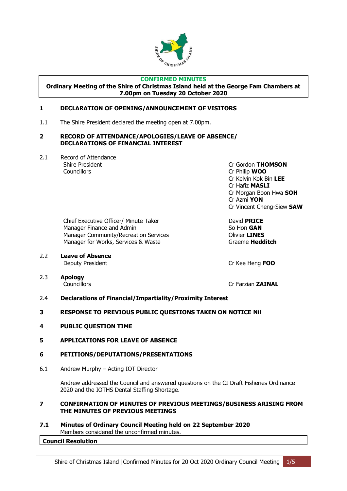

#### **CONFIRMED MINUTES**

**Ordinary Meeting of the Shire of Christmas Island held at the George Fam Chambers at 7.00pm on Tuesday 20 October 2020**

#### <span id="page-3-0"></span>**1 DECLARATION OF OPENING/ANNOUNCEMENT OF VISITORS**

1.1 The Shire President declared the meeting open at 7.00pm.

#### <span id="page-3-1"></span>**2 RECORD OF ATTENDANCE/APOLOGIES/LEAVE OF ABSENCE/ DECLARATIONS OF FINANCIAL INTEREST**

2.1 Record of Attendance Councillors Cr Philip **WOO**

Shire President Cr Gordon **THOMSON** Cr Kelvin Kok Bin **LEE** Cr Hafiz **MASLI** Cr Morgan Boon Hwa **SOH** Cr Azmi **YON** Cr Vincent Cheng-Siew **SAW**

Chief Executive Officer/ Minute Taker David **PRICE** Manager Finance and Admin So Hon **GAN** Manager Community/Recreation Services **Community/Recreation Services** Manager for Works, Services & Waste Graeme **Hedditch** 

2.2 **Leave of Absence** Deputy President Cr Kee Heng **FOO**

2.3 **Apology**

Councillors **Councillors** Cr Farzian **ZAINAL** 

- 2.4 **Declarations of Financial/Impartiality/Proximity Interest**
- <span id="page-3-2"></span>**3 RESPONSE TO PREVIOUS PUBLIC QUESTIONS TAKEN ON NOTICE Nil**
- <span id="page-3-3"></span>**4 PUBLIC QUESTION TIME**
- <span id="page-3-4"></span>**5 APPLICATIONS FOR LEAVE OF ABSENCE**
- <span id="page-3-5"></span>**6 PETITIONS/DEPUTATIONS/PRESENTATIONS**
- 6.1 Andrew Murphy Acting IOT Director

Andrew addressed the Council and answered questions on the CI Draft Fisheries Ordinance 2020 and the IOTHS Dental Staffing Shortage.

#### <span id="page-3-6"></span>**7 CONFIRMATION OF MINUTES OF PREVIOUS MEETINGS/BUSINESS ARISING FROM THE MINUTES OF PREVIOUS MEETINGS**

**7.1 Minutes of Ordinary Council Meeting held on 22 September 2020** Members considered the unconfirmed minutes.

#### **Council Resolution**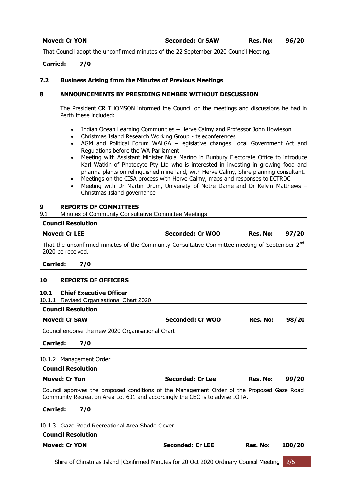#### **Moved: Cr YON Seconded: Cr SAW Res. No: 96/20**

That Council adopt the unconfirmed minutes of the 22 September 2020 Council Meeting.

**Carried: 7/0**

#### **7.2 Business Arising from the Minutes of Previous Meetings**

#### <span id="page-4-0"></span>**8 ANNOUNCEMENTS BY PRESIDING MEMBER WITHOUT DISCUSSION**

The President CR THOMSON informed the Council on the meetings and discussions he had in Perth these included:

- Indian Ocean Learning Communities Herve Calmy and Professor John Howieson
- Christmas Island Research Working Group teleconferences
- AGM and Political Forum WALGA legislative changes Local Government Act and Regulations before the WA Parliament
- Meeting with Assistant Minister Nola Marino in Bunbury Electorate Office to introduce Karl Watkin of Photocyte Pty Ltd who is interested in investing in growing food and pharma plants on relinquished mine land, with Herve Calmy, Shire planning consultant.
- Meetings on the CISA process with Herve Calmy, maps and responses to DITRDC
- Meeting with Dr Martin Drum, University of Notre Dame and Dr Kelvin Matthews Christmas Island governance

#### <span id="page-4-1"></span>**9 REPORTS OF COMMITTEES**

9.1 Minutes of Community Consultative Committee Meetings

| <b>Council Resolution</b> |                            |                                                                                                           |          |       |
|---------------------------|----------------------------|-----------------------------------------------------------------------------------------------------------|----------|-------|
| <b>Moved: Cr LEE</b>      |                            | <b>Seconded: Cr WOO</b>                                                                                   | Res. No: | 97/20 |
| 2020 be received.         |                            | That the unconfirmed minutes of the Community Consultative Committee meeting of September 2 <sup>nd</sup> |          |       |
| Carried:                  | <b>7/0</b>                 |                                                                                                           |          |       |
| 10                        | <b>REPORTS OF OFFICERS</b> |                                                                                                           |          |       |

## <span id="page-4-2"></span>**10.1 Chief Executive Officer**

10.1.1 Revised Organisational Chart 2020

| <b>Council Resolution</b>                         |                  |          |       |  |
|---------------------------------------------------|------------------|----------|-------|--|
| <b>Moved: Cr SAW</b>                              | Seconded: Cr WOO | Res. No: | 98/20 |  |
| Council endorse the new 2020 Organisational Chart |                  |          |       |  |

### **Carried: 7/0**

#### 10.1.2 Management Order

| <b>Council Resolution</b>                                                                                                                                                  |                         |          |        |
|----------------------------------------------------------------------------------------------------------------------------------------------------------------------------|-------------------------|----------|--------|
| <b>Moved: Cr Yon</b>                                                                                                                                                       | Seconded: Cr Lee        | Res. No: | 99/20  |
| Council approves the proposed conditions of the Management Order of the Proposed Gaze Road<br>Community Recreation Area Lot 601 and accordingly the CEO is to advise IOTA. |                         |          |        |
| <b>Carried:</b><br>7/0                                                                                                                                                     |                         |          |        |
| 10.1.3 Gaze Road Recreational Area Shade Cover                                                                                                                             |                         |          |        |
| <b>Council Resolution</b>                                                                                                                                                  |                         |          |        |
| <b>Moved: Cr YON</b>                                                                                                                                                       | <b>Seconded: Cr LEE</b> | Res. No: | 100/20 |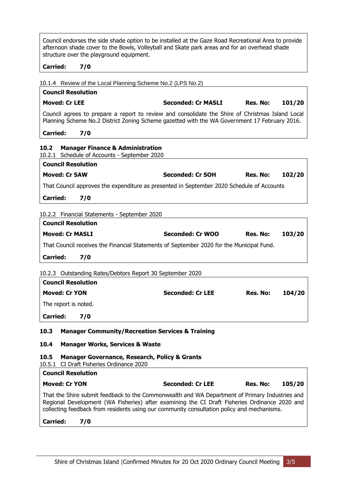Council endorses the side shade option to be installed at the Gaze Road Recreational Area to provide afternoon shade cover to the Bowls, Volleyball and Skate park areas and for an overhead shade structure over the playground equipment.

### **Carried: 7/0**

10.1.4 Review of the Local Planning Scheme No.2 (LPS No.2)

# **Council Resolution Moved: Cr LEE Seconded: Cr MASLI Res. No: 101/20** Council agrees to prepare a report to review and consolidate the Shire of Christmas Island Local Planning Scheme No.2 District Zoning Scheme gazetted with the WA Government 17 February 2016.

| <b>Carried:</b> | 7/0 |
|-----------------|-----|
|-----------------|-----|

<span id="page-5-3"></span><span id="page-5-2"></span><span id="page-5-1"></span><span id="page-5-0"></span>

| <b>Manager Finance &amp; Administration</b><br>10.2<br>10.2.1 Schedule of Accounts - September 2020                                                                                                                                                                                                                                             |                         |          |        |
|-------------------------------------------------------------------------------------------------------------------------------------------------------------------------------------------------------------------------------------------------------------------------------------------------------------------------------------------------|-------------------------|----------|--------|
| <b>Council Resolution</b>                                                                                                                                                                                                                                                                                                                       |                         |          |        |
| <b>Moved: Cr SAW</b>                                                                                                                                                                                                                                                                                                                            | <b>Seconded: Cr SOH</b> | Res. No: | 102/20 |
| That Council approves the expenditure as presented in September 2020 Schedule of Accounts                                                                                                                                                                                                                                                       |                         |          |        |
| <b>Carried:</b><br>7/0                                                                                                                                                                                                                                                                                                                          |                         |          |        |
|                                                                                                                                                                                                                                                                                                                                                 |                         |          |        |
| 10.2.2 Financial Statements - September 2020<br><b>Council Resolution</b>                                                                                                                                                                                                                                                                       |                         |          |        |
| <b>Moved: Cr MASLI</b>                                                                                                                                                                                                                                                                                                                          | <b>Seconded: Cr WOO</b> | Res. No: | 103/20 |
| That Council receives the Financial Statements of September 2020 for the Municipal Fund.                                                                                                                                                                                                                                                        |                         |          |        |
| <b>Carried:</b><br>7/0                                                                                                                                                                                                                                                                                                                          |                         |          |        |
| 10.2.3 Outstanding Rates/Debtors Report 30 September 2020<br><b>Council Resolution</b><br><b>Moved: Cr YON</b><br>The report is noted.<br><b>Carried:</b><br>7/0                                                                                                                                                                                | <b>Seconded: Cr LEE</b> | Res. No: | 104/20 |
| 10.3<br><b>Manager Community/Recreation Services &amp; Training</b><br>10.4<br><b>Manager Works, Services &amp; Waste</b><br>10.5<br><b>Manager Governance, Research, Policy &amp; Grants</b>                                                                                                                                                   |                         |          |        |
| 10.5.1 CI Draft Fisheries Ordinance 2020                                                                                                                                                                                                                                                                                                        |                         |          |        |
| <b>Council Resolution</b>                                                                                                                                                                                                                                                                                                                       |                         |          |        |
| <b>Moved: Cr YON</b><br>That the Shire submit feedback to the Commonwealth and WA Department of Primary Industries and<br>Regional Development (WA Fisheries) after examining the CI Draft Fisheries Ordinance 2020 and<br>collecting feedback from residents using our community consultation policy and mechanisms.<br><b>Carried:</b><br>7/0 | <b>Seconded: Cr LEE</b> | Res. No: | 105/20 |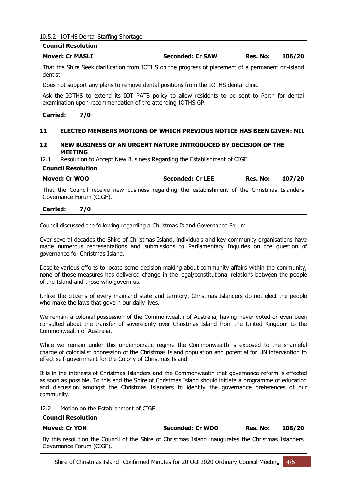10.5.2 IOTHS Dental Staffing Shortage

|                 | <b>Council Resolution</b>                                                                                                                                   |                         |          |        |
|-----------------|-------------------------------------------------------------------------------------------------------------------------------------------------------------|-------------------------|----------|--------|
|                 | <b>Moved: Cr MASLI</b>                                                                                                                                      | Seconded: Cr SAW        | Res. No: | 106/20 |
| dentist         | That the Shire Seek clarification from IOTHS on the progress of placement of a permanent on-island                                                          |                         |          |        |
|                 | Does not support any plans to remove dental positions from the IOTHS dental clinic                                                                          |                         |          |        |
|                 | Ask the IOTHS to extend its IOT PATS policy to allow residents to be sent to Perth for dental<br>examination upon recommendation of the attending IOTHS GP. |                         |          |        |
| <b>Carried:</b> | 7/0                                                                                                                                                         |                         |          |        |
| 11              | ELECTED MEMBERS MOTIONS OF WHICH PREVIOUS NOTICE HAS BEEN GIVEN: NIL                                                                                        |                         |          |        |
| 12              | NEW BUSINESS OF AN URGENT NATURE INTRODUCED BY DECISION OF THE<br><b>MEETING</b>                                                                            |                         |          |        |
| 12.1            | Resolution to Accept New Business Regarding the Establishment of CIGF                                                                                       |                         |          |        |
|                 | <b>Council Resolution</b>                                                                                                                                   |                         |          |        |
|                 | <b>Moved: Cr WOO</b>                                                                                                                                        | <b>Seconded: Cr LEE</b> | Res. No: | 107/20 |
|                 |                                                                                                                                                             |                         |          |        |

#### <span id="page-6-1"></span><span id="page-6-0"></span>**Carried: 7/0**

Council discussed the following regarding a Christmas Island Governance Forum

Over several decades the Shire of Christmas Island, individuals and key community organisations have made numerous representations and submissions to Parliamentary Inquiries on the question of governance for Christmas Island.

Despite various efforts to locate some decision making about community affairs within the community, none of those measures has delivered change in the legal/constitutional relations between the people of the Island and those who govern us.

Unlike the citizens of every mainland state and territory, Christmas Islanders do not elect the people who make the laws that govern our daily lives.

We remain a colonial possession of the Commonwealth of Australia, having never voted or even been consulted about the transfer of sovereignty over Christmas Island from the United Kingdom to the Commonwealth of Australia.

While we remain under this undemocratic regime the Commonwealth is exposed to the shameful charge of colonialist oppression of the Christmas Island population and potential for UN intervention to effect self-government for the Colony of Christmas Island.

It is in the interests of Christmas Islanders and the Commonwealth that governance reform is effected as soon as possible. To this end the Shire of Christmas Island should initiate a programme of education and discussion amongst the Christmas Islanders to identify the governance preferences of our community.

12.2 Motion on the Establishment of CIGF

**Council Resolution**

| sounch Resolution                                                                                   |                  |          |        |
|-----------------------------------------------------------------------------------------------------|------------------|----------|--------|
| Moved: Cr YON                                                                                       | Seconded: Cr WOO | Res. No: | 108/20 |
| By this resolution the Council of the Shire of Christmas Island inaugurates the Christmas Islanders |                  |          |        |
| Governance Forum (CIGF).                                                                            |                  |          |        |